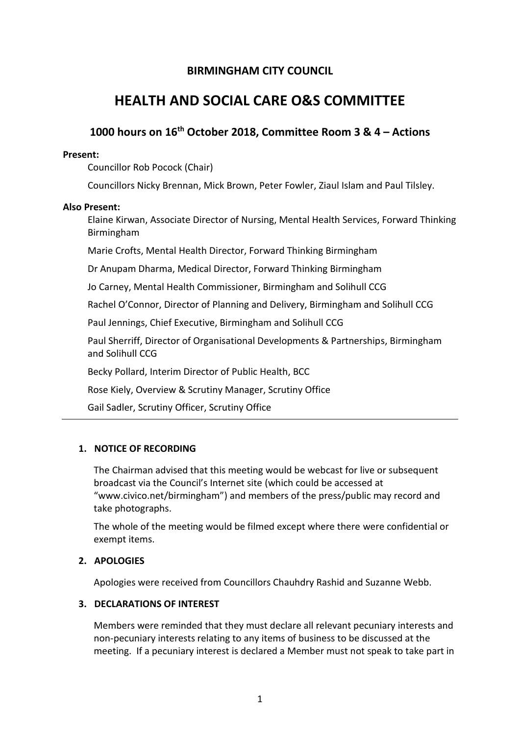## **BIRMINGHAM CITY COUNCIL**

# **HEALTH AND SOCIAL CARE O&S COMMITTEE**

## 1000 hours on 16<sup>th</sup> October 2018, Committee Room 3 & 4 - Actions

#### Present:

Councillor Rob Pocock (Chair)

Councillors Nicky Brennan, Mick Brown, Peter Fowler, Ziaul Islam and Paul Tilsley.

#### Also Present:

Elaine Kirwan, Associate Director of Nursing, Mental Health Services, Forward Thinking Birmingham

Marie Crofts, Mental Health Director, Forward Thinking Birmingham

Dr Anupam Dharma, Medical Director, Forward Thinking Birmingham

Jo Carney, Mental Health Commissioner, Birmingham and Solihull CCG

Rachel O'Connor, Director of Planning and Delivery, Birmingham and Solihull CCG

Paul Jennings, Chief Executive, Birmingham and Solihull CCG

Paul Sherriff, Director of Organisational Developments & Partnerships, Birmingham and Solibull CCG

Becky Pollard, Interim Director of Public Health, BCC

Rose Kiely, Overview & Scrutiny Manager, Scrutiny Office

Gail Sadler, Scrutiny Officer, Scrutiny Office

## 1. NOTICE OF RECORDING

The Chairman advised that this meeting would be webcast for live or subsequent broadcast via the Council's Internet site (which could be accessed at "www.civico.net/birmingham") and members of the press/public may record and take photographs.

The whole of the meeting would be filmed except where there were confidential or exempt items.

## 2. APOLOGIES

Apologies were received from Councillors Chauhdry Rashid and Suzanne Webb.

## 3. DECLARATIONS OF INTEREST

Members were reminded that they must declare all relevant pecuniary interests and non-pecuniary interests relating to any items of business to be discussed at the meeting. If a pecuniary interest is declared a Member must not speak to take part in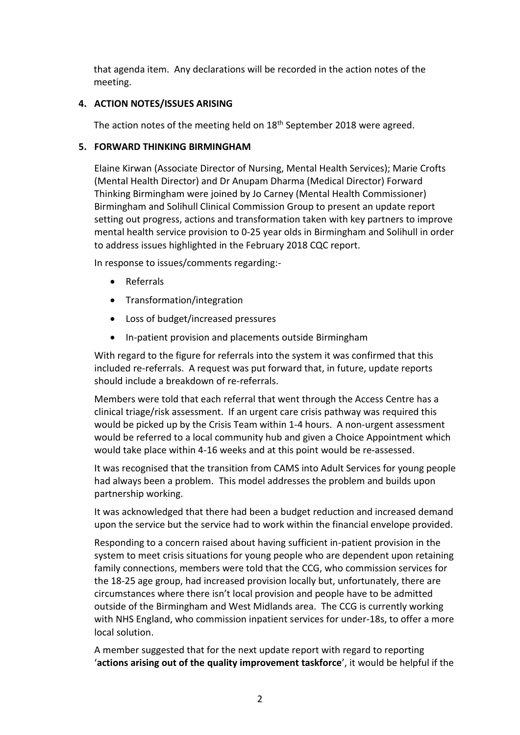that agenda item. Any declarations will be recorded in the action notes of the meeting.

## **4. ACTION NOTES/ISSUES ARISING**

The action notes of the meeting held on 18<sup>th</sup> September 2018 were agreed.

## **5. FORWARD THINKING BIRMINGHAM**

Elaine Kirwan (Associate Director of Nursing, Mental Health Services); Marie Crofts (Mental Health Director) and Dr Anupam Dharma (Medical Director) Forward Thinking Birmingham were joined by Jo Carney (Mental Health Commissioner) Birmingham and Solihull Clinical Commission Group to present an update report setting out progress, actions and transformation taken with key partners to improve mental health service provision to 0-25 year olds in Birmingham and Solihull in order to address issues highlighted in the February 2018 CQC report.

In response to issues/comments regarding:-

- Referrals
- Transformation/integration
- Loss of budget/increased pressures
- In-patient provision and placements outside Birmingham

With regard to the figure for referrals into the system it was confirmed that this included re-referrals. A request was put forward that, in future, update reports should include a breakdown of re-referrals.

Members were told that each referral that went through the Access Centre has a clinical triage/risk assessment. If an urgent care crisis pathway was required this would be picked up by the Crisis Team within 1-4 hours. A non-urgent assessment would be referred to a local community hub and given a Choice Appointment which would take place within 4-16 weeks and at this point would be re-assessed.

It was recognised that the transition from CAMS into Adult Services for young people had always been a problem. This model addresses the problem and builds upon partnership working.

It was acknowledged that there had been a budget reduction and increased demand upon the service but the service had to work within the financial envelope provided.

Responding to a concern raised about having sufficient in-patient provision in the system to meet crisis situations for young people who are dependent upon retaining family connections, members were told that the CCG, who commission services for the 18-25 age group, had increased provision locally but, unfortunately, there are circumstances where there isn't local provision and people have to be admitted outside of the Birmingham and West Midlands area. The CCG is currently working with NHS England, who commission inpatient services for under-18s, to offer a more local solution.

A member suggested that for the next update report with regard to reporting 'actions arising out of the quality improvement taskforce', it would be helpful if the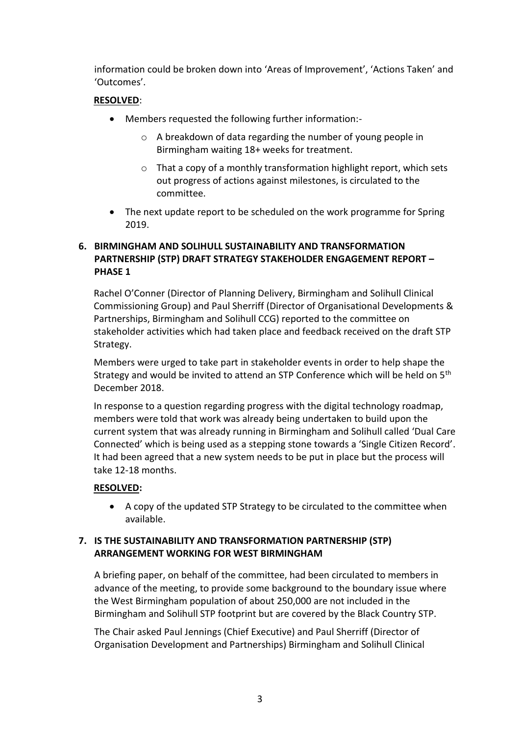information could be broken down into 'Areas of Improvement', 'Actions Taken' and 'Outcomes'.

## **RESOLVED:**

- Members requested the following further information:
	- o A breakdown of data regarding the number of young people in Birmingham waiting 18+ weeks for treatment.
	- o That a copy of a monthly transformation highlight report, which sets out progress of actions against milestones, is circulated to the committee.
- The next update report to be scheduled on the work programme for Spring 2019.

## 6. BIRMINGHAM AND SOLIHULL SUSTAINABILITY AND TRANSFORMATION **PARTNERSHIP (STP) DRAFT STRATEGY STAKEHOLDER ENGAGEMENT REPORT -PHASE 1**

Rachel O'Conner (Director of Planning Delivery, Birmingham and Solihull Clinical Commissioning Group) and Paul Sherriff (Director of Organisational Developments & Partnerships, Birmingham and Solihull CCG) reported to the committee on stakeholder activities which had taken place and feedback received on the draft STP Strategy.

Members were urged to take part in stakeholder events in order to help shape the Strategy and would be invited to attend an STP Conference which will be held on 5<sup>th</sup> December 2018.

In response to a question regarding progress with the digital technology roadmap, members were told that work was already being undertaken to build upon the current system that was already running in Birmingham and Solihull called 'Dual Care Connected' which is being used as a stepping stone towards a 'Single Citizen Record'. It had been agreed that a new system needs to be put in place but the process will take 12-18 months.

## **RESOLVED:**

• A copy of the updated STP Strategy to be circulated to the committee when available.

## 7. IS THE SUSTAINABILITY AND TRANSFORMATION PARTNERSHIP (STP) **ARRANGEMENT WORKING FOR WEST BIRMINGHAM**

A briefing paper, on behalf of the committee, had been circulated to members in advance of the meeting, to provide some background to the boundary issue where the West Birmingham population of about 250,000 are not included in the Birmingham and Solihull STP footprint but are covered by the Black Country STP.

The Chair asked Paul Jennings (Chief Executive) and Paul Sherriff (Director of Organisation Development and Partnerships) Birmingham and Solihull Clinical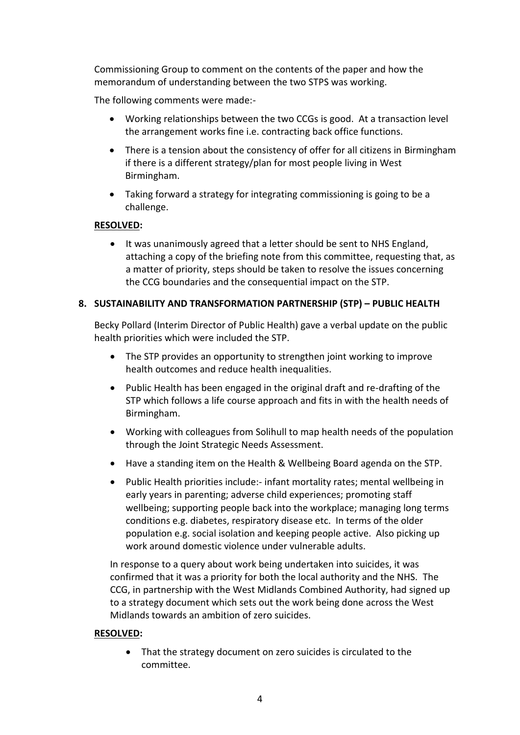Commissioning Group to comment on the contents of the paper and how the memorandum of understanding between the two STPS was working.

The following comments were made:-

- Working relationships between the two CCGs is good. At a transaction level the arrangement works fine i.e. contracting back office functions.
- There is a tension about the consistency of offer for all citizens in Birmingham if there is a different strategy/plan for most people living in West Birmingham.
- Taking forward a strategy for integrating commissioning is going to be a challenge.

#### **RESOLVED:**

• It was unanimously agreed that a letter should be sent to NHS England, attaching a copy of the briefing note from this committee, requesting that, as a matter of priority, steps should be taken to resolve the issues concerning the CCG boundaries and the consequential impact on the STP.

#### **8. SUSTAINABILITY AND TRANSFORMATION PARTNERSHIP (STP) – PUBLIC HEALTH**

Becky Pollard (Interim Director of Public Health) gave a verbal update on the public health priorities which were included the STP.

- The STP provides an opportunity to strengthen joint working to improve health outcomes and reduce health inequalities.
- Public Health has been engaged in the original draft and re-drafting of the STP which follows a life course approach and fits in with the health needs of Birmingham.
- Working with colleagues from Solihull to map health needs of the population through the Joint Strategic Needs Assessment.
- Have a standing item on the Health & Wellbeing Board agenda on the STP.
- Public Health priorities include:- infant mortality rates; mental wellbeing in early years in parenting; adverse child experiences; promoting staff wellbeing; supporting people back into the workplace; managing long terms conditions e.g. diabetes, respiratory disease etc. In terms of the older population e.g. social isolation and keeping people active. Also picking up work around domestic violence under vulnerable adults.

In response to a query about work being undertaken into suicides, it was confirmed that it was a priority for both the local authority and the NHS. The CCG, in partnership with the West Midlands Combined Authority, had signed up to a strategy document which sets out the work being done across the West Midlands towards an ambition of zero suicides.

#### **RESOLVED:**

• That the strategy document on zero suicides is circulated to the committee.